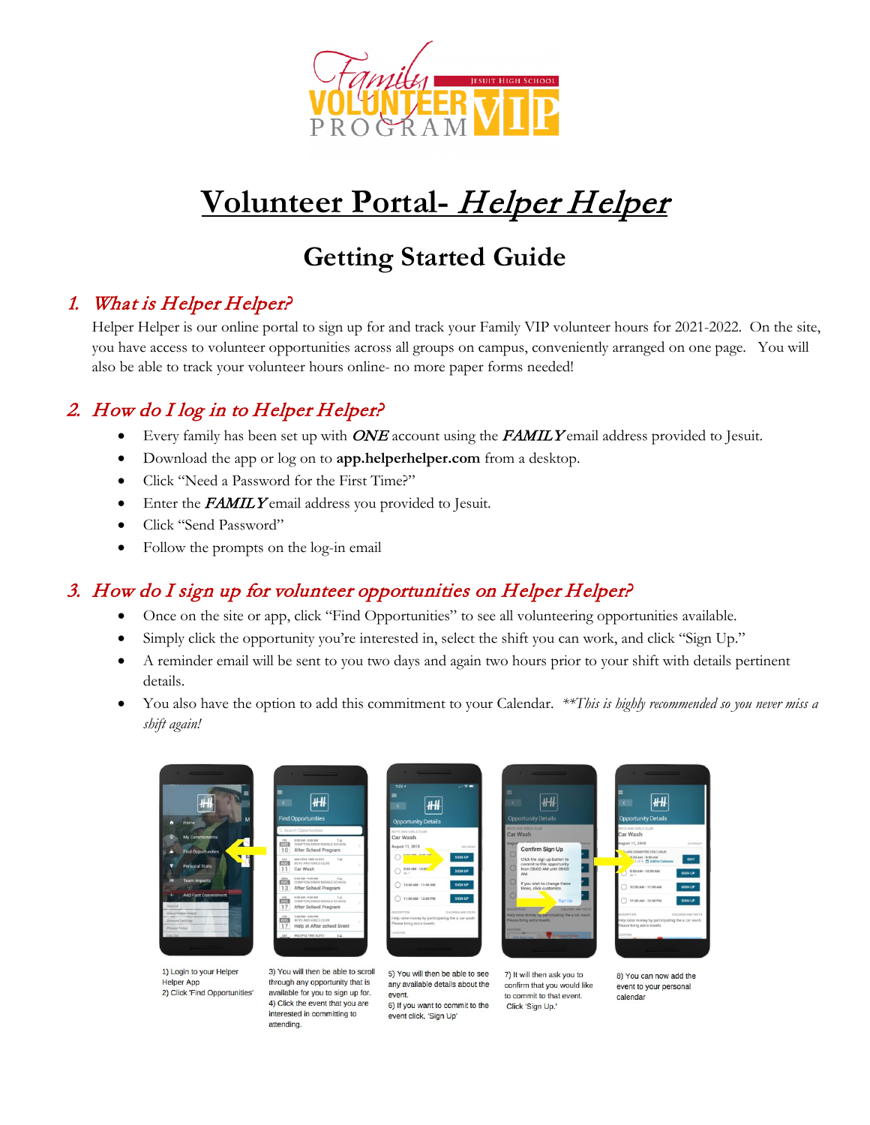

# **Volunteer Portal-** Helper Helper

## **Getting Started Guide**

#### 1. What is Helper Helper?

Helper Helper is our online portal to sign up for and track your Family VIP volunteer hours for 2021-2022. On the site, you have access to volunteer opportunities across all groups on campus, conveniently arranged on one page. You will also be able to track your volunteer hours online- no more paper forms needed!

#### 2. How do I log in to Helper Helper?

- Every family has been set up with  $ONE$  account using the FAMILY email address provided to Jesuit.
- Download the app or log on to **app.helperhelper.com** from a desktop.
- Click "Need a Password for the First Time?"
- Enter the **FAMILY** email address you provided to Jesuit.
- Click "Send Password"
- Follow the prompts on the log-in email

#### 3. How do I sign up for volunteer opportunities on Helper Helper?

 $H$ 

through any opportunity that is

available for you to sign up for.

4) Click the event that you are

interested in committing to

attending

- Once on the site or app, click "Find Opportunities" to see all volunteering opportunities available.
- Simply click the opportunity you're interested in, select the shift you can work, and click "Sign Up."
- A reminder email will be sent to you two days and again two hours prior to your shift with details pertinent details.
- You also have the option to add this commitment to your Calendar. *\*\*This is highly recommended so you never miss a shift again!*



1) Login to your Helper **Helper App** 2) Click 'Find Opportunities'





5) You will then be able to see any available details about the event. 6) If you want to commit to the event click, 'Sign Up'

7) It will then ask you to confirm that you would like to commit to that event. Click 'Sign Up.

8) You can now add the event to your personal calendar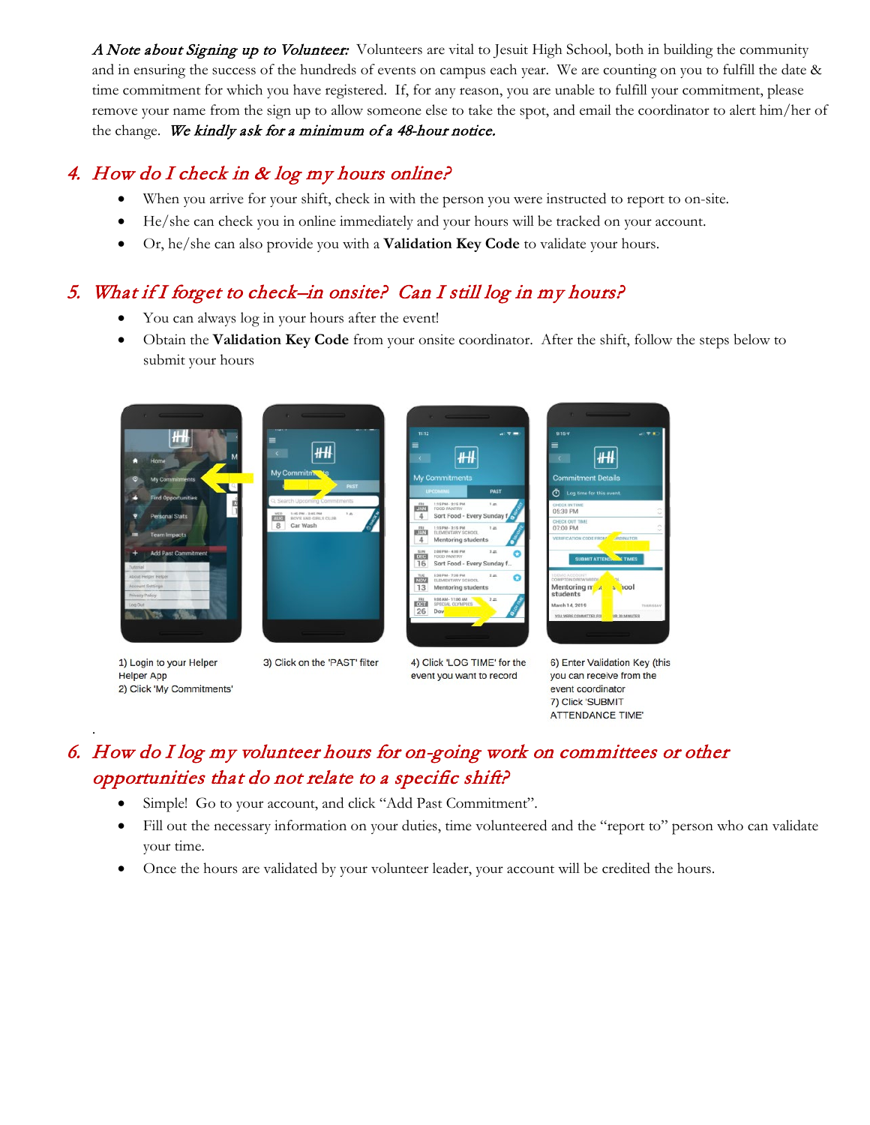A Note about Signing up to Volunteer: Volunteers are vital to Jesuit High School, both in building the community and in ensuring the success of the hundreds of events on campus each year. We are counting on you to fulfill the date & time commitment for which you have registered. If, for any reason, you are unable to fulfill your commitment, please remove your name from the sign up to allow someone else to take the spot, and email the coordinator to alert him/her of the change. We kindly ask for a minimum of a 48-hour notice.

#### 4. How do I check in & log my hours online?

- When you arrive for your shift, check in with the person you were instructed to report to on-site.
- He/she can check you in online immediately and your hours will be tracked on your account.
- Or, he/she can also provide you with a **Validation Key Code** to validate your hours.

#### 5. What if I forget to check–in onsite? Can I still log in my hours?

- You can always log in your hours after the event!
- Obtain the **Validation Key Code** from your onsite coordinator. After the shift, follow the steps below to submit your hours





1) Login to your Helper **Helper App** 2) Click 'My Commitments'

.

3) Click on the 'PAST' filter



4) Click 'LOG TIME' for the event you want to record

6) Enter Validation Key (this you can receive from the event coordinator 7) Click 'SUBMIT **ATTENDANCE TIME'** 

#### 6. How do I log my volunteer hours for on-going work on committees or other opportunities that do not relate to a specific shift?

- Simple! Go to your account, and click "Add Past Commitment".
- Fill out the necessary information on your duties, time volunteered and the "report to" person who can validate your time.
- Once the hours are validated by your volunteer leader, your account will be credited the hours.